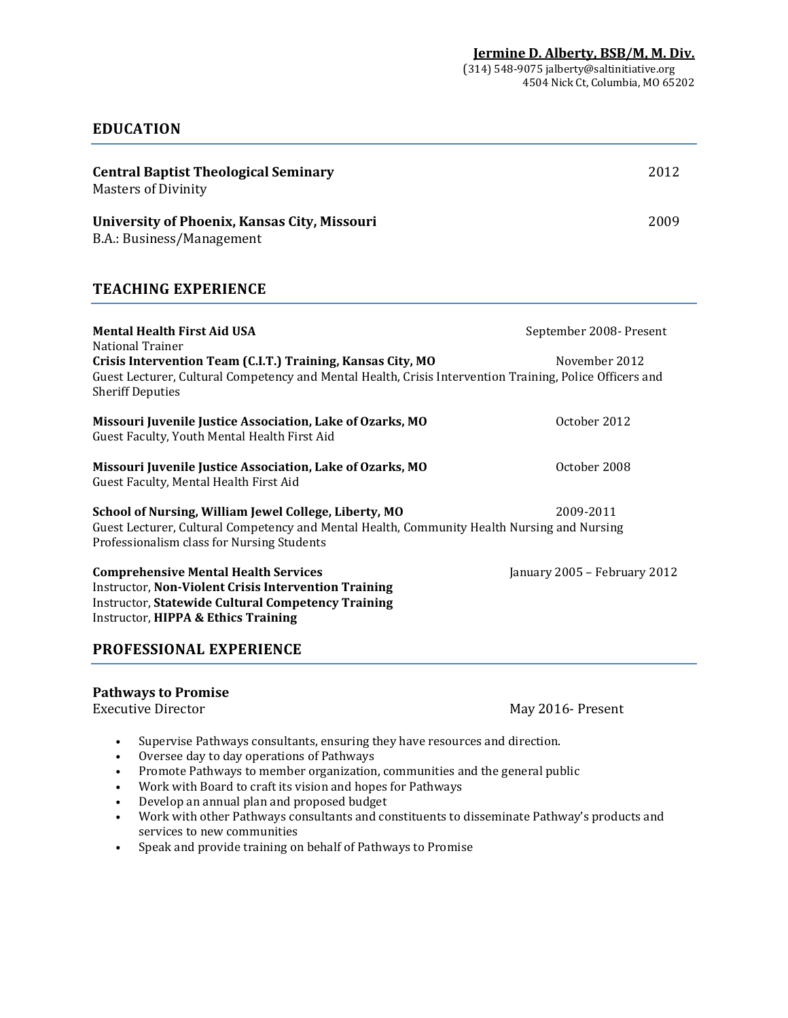## **EDUCATION**

| <b>Central Baptist Theological Seminary</b><br><b>Masters of Divinity</b>                                                                                                                                      | 2012                         |
|----------------------------------------------------------------------------------------------------------------------------------------------------------------------------------------------------------------|------------------------------|
| <b>University of Phoenix, Kansas City, Missouri</b><br>B.A.: Business/Management                                                                                                                               | 2009                         |
| <b>TEACHING EXPERIENCE</b>                                                                                                                                                                                     |                              |
| <b>Mental Health First Aid USA</b><br><b>National Trainer</b>                                                                                                                                                  | September 2008- Present      |
| Crisis Intervention Team (C.I.T.) Training, Kansas City, MO<br>Guest Lecturer, Cultural Competency and Mental Health, Crisis Intervention Training, Police Officers and<br><b>Sheriff Deputies</b>             | November 2012                |
| Missouri Juvenile Justice Association, Lake of Ozarks, MO<br>Guest Faculty, Youth Mental Health First Aid                                                                                                      | October 2012                 |
| Missouri Juvenile Justice Association, Lake of Ozarks, MO<br>Guest Faculty, Mental Health First Aid                                                                                                            | October 2008                 |
| School of Nursing, William Jewel College, Liberty, MO<br>Guest Lecturer, Cultural Competency and Mental Health, Community Health Nursing and Nursing<br>Professionalism class for Nursing Students             | 2009-2011                    |
| <b>Comprehensive Mental Health Services</b><br><b>Instructor, Non-Violent Crisis Intervention Training</b><br><b>Instructor, Statewide Cultural Competency Training</b><br>Instructor, HIPPA & Ethics Training | January 2005 - February 2012 |
| <b>PROFESSIONAL EXPERIENCE</b>                                                                                                                                                                                 |                              |

#### **Pathways to Promise**

Executive Director **May 2016- Present** 

- Supervise Pathways consultants, ensuring they have resources and direction.
- Oversee day to day operations of Pathways
- Promote Pathways to member organization, communities and the general public
- Work with Board to craft its vision and hopes for Pathways
- Develop an annual plan and proposed budget
- Work with other Pathways consultants and constituents to disseminate Pathway's products and services to new communities
- Speak and provide training on behalf of Pathways to Promise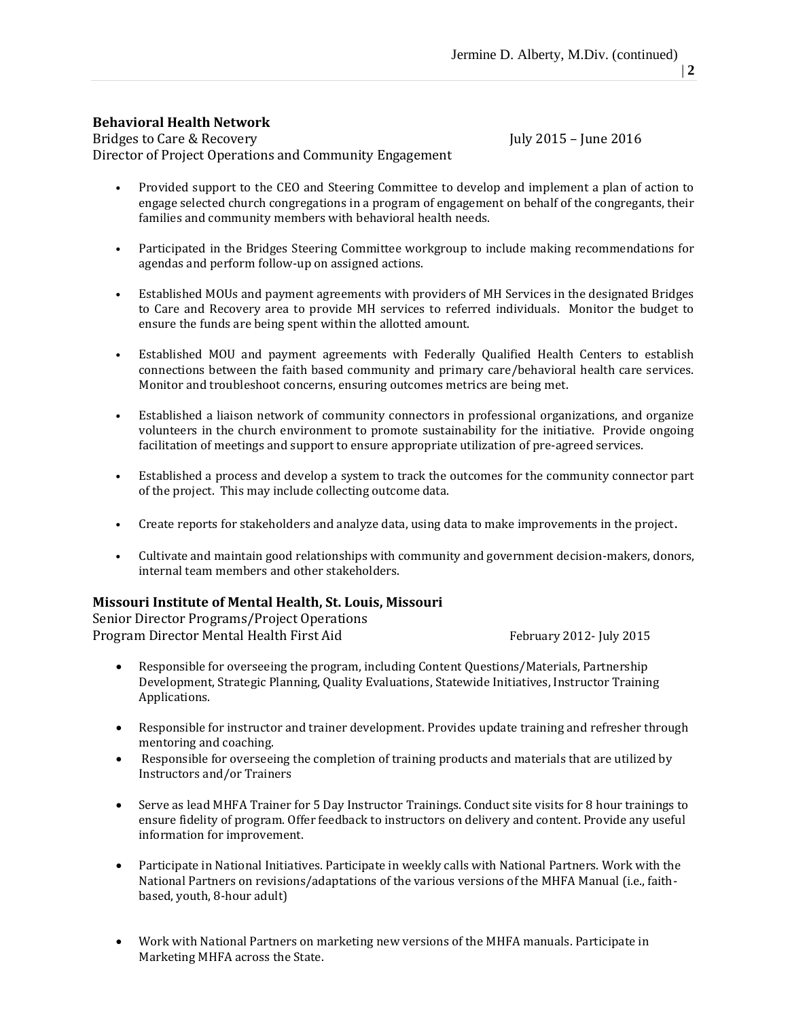#### **Behavioral Health Network**

Bridges to Care & Recovery Tuly 2015 – June 2016 Director of Project Operations and Community Engagement

- Provided support to the CEO and Steering Committee to develop and implement a plan of action to engage selected church congregations in a program of engagement on behalf of the congregants, their families and community members with behavioral health needs.
- Participated in the Bridges Steering Committee workgroup to include making recommendations for agendas and perform follow-up on assigned actions.
- Established MOUs and payment agreements with providers of MH Services in the designated Bridges to Care and Recovery area to provide MH services to referred individuals. Monitor the budget to ensure the funds are being spent within the allotted amount.
- Established MOU and payment agreements with Federally Qualified Health Centers to establish connections between the faith based community and primary care/behavioral health care services. Monitor and troubleshoot concerns, ensuring outcomes metrics are being met.
- Established a liaison network of community connectors in professional organizations, and organize volunteers in the church environment to promote sustainability for the initiative. Provide ongoing facilitation of meetings and support to ensure appropriate utilization of pre-agreed services.
- Established a process and develop a system to track the outcomes for the community connector part of the project. This may include collecting outcome data.
- Create reports for stakeholders and analyze data, using data to make improvements in the project.
- Cultivate and maintain good relationships with community and government decision-makers, donors, internal team members and other stakeholders.

## **Missouri Institute of Mental Health, St. Louis, Missouri**

Senior Director Programs/Project Operations Program Director Mental Health First Aid February 2012- July 2015

- Responsible for overseeing the program, including Content Questions/Materials, Partnership Development, Strategic Planning, Quality Evaluations, Statewide Initiatives, Instructor Training Applications.
- Responsible for instructor and trainer development. Provides update training and refresher through mentoring and coaching.
- Responsible for overseeing the completion of training products and materials that are utilized by Instructors and/or Trainers
- Serve as lead MHFA Trainer for 5 Day Instructor Trainings. Conduct site visits for 8 hour trainings to ensure fidelity of program. Offer feedback to instructors on delivery and content. Provide any useful information for improvement.
- Participate in National Initiatives. Participate in weekly calls with National Partners. Work with the National Partners on revisions/adaptations of the various versions of the MHFA Manual (i.e., faithbased, youth, 8-hour adult)
- Work with National Partners on marketing new versions of the MHFA manuals. Participate in Marketing MHFA across the State.

 $\vert 2 \vert$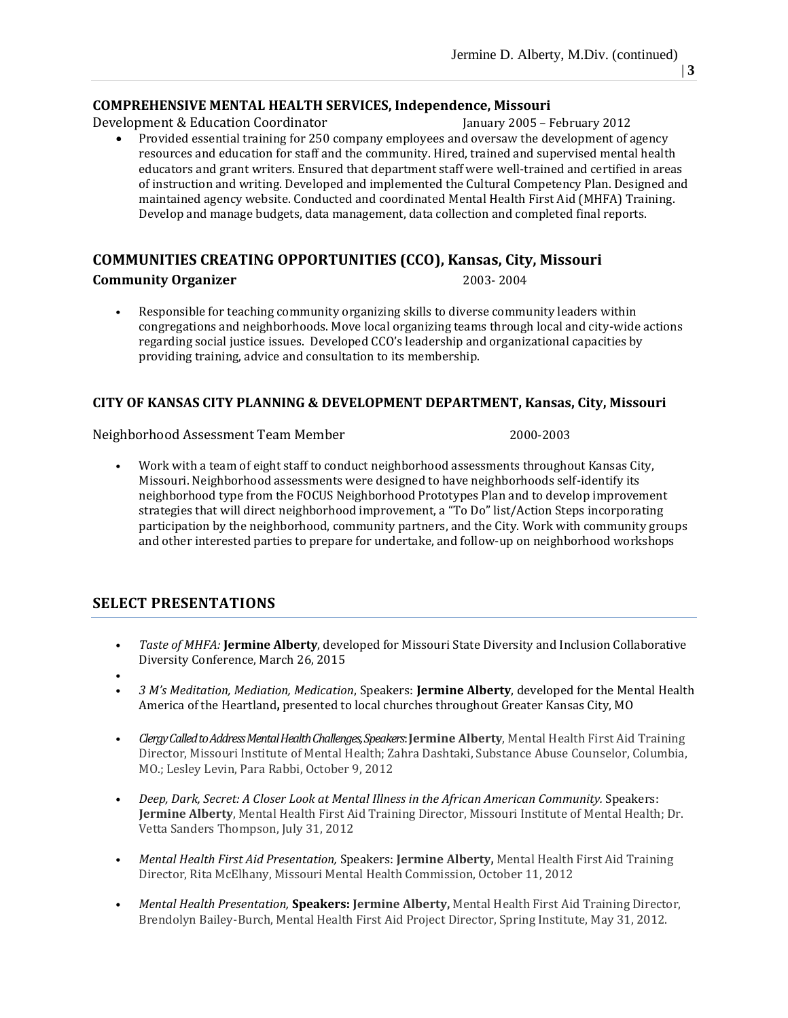#### **COMPREHENSIVE MENTAL HEALTH SERVICES, Independence, Missouri**

Development & Education Coordinator February 2005 – February 2012

 Provided essential training for 250 company employees and oversaw the development of agency resources and education for staff and the community. Hired, trained and supervised mental health educators and grant writers. Ensured that department staff were well-trained and certified in areas of instruction and writing. Developed and implemented the Cultural Competency Plan. Designed and maintained agency website. Conducted and coordinated Mental Health First Aid (MHFA) Training. Develop and manage budgets, data management, data collection and completed final reports.

### **COMMUNITIES CREATING OPPORTUNITIES (CCO), Kansas, City, Missouri**

#### **Community Organizer** 2003- 2004

• Responsible for teaching community organizing skills to diverse community leaders within congregations and neighborhoods. Move local organizing teams through local and city-wide actions regarding social justice issues. Developed CCO's leadership and organizational capacities by providing training, advice and consultation to its membership.

### **CITY OF KANSAS CITY PLANNING & DEVELOPMENT DEPARTMENT, Kansas, City, Missouri**

Neighborhood Assessment Team Member 2000-2003

• Work with a team of eight staff to conduct neighborhood assessments throughout Kansas City, Missouri. Neighborhood assessments were designed to have neighborhoods self-identify its neighborhood type from the FOCUS Neighborhood Prototypes Plan and to develop improvement strategies that will direct neighborhood improvement, a "To Do" list/Action Steps incorporating participation by the neighborhood, community partners, and the City. Work with community groups and other interested parties to prepare for undertake, and follow-up on neighborhood workshops

## **SELECT PRESENTATIONS**

- *Taste of MHFA:* **Jermine Alberty**, developed for Missouri State Diversity and Inclusion Collaborative Diversity Conference, March 26, 2015
- •
- *3 M's Meditation, Mediation, Medication*, Speakers: **Jermine Alberty**, developed for the Mental Health America of the Heartland**,** presented to local churches throughout Greater Kansas City, MO
- *Clergy Called to Address Mental Health Challenges, Speakers*: **Jermine Alberty**, Mental Health First Aid Training Director, Missouri Institute of Mental Health; Zahra Dashtaki, Substance Abuse Counselor, Columbia, MO.; Lesley Levin, Para Rabbi, October 9, 2012
- *Deep, Dark, Secret: A Closer Look at Mental Illness in the African American [Community.](http://multiculturallife.org/?p=11227)* Speakers: **Jermine Alberty**, Mental Health First Aid Training Director, Missouri Institute of Mental Health; Dr. Vetta Sanders Thompson, July 31, 2012
- *Mental Health First Aid Presentation,* Speakers: **Jermine Alberty,** Mental Health First Aid Training Director, Rita McElhany, Missouri Mental Health Commission, October 11, 2012
- *Mental Health Presentation,* **Speakers: Jermine Alberty,** Mental Health First Aid Training Director, Brendolyn Bailey-Burch, Mental Health First Aid Project Director, Spring Institute, May 31, 2012.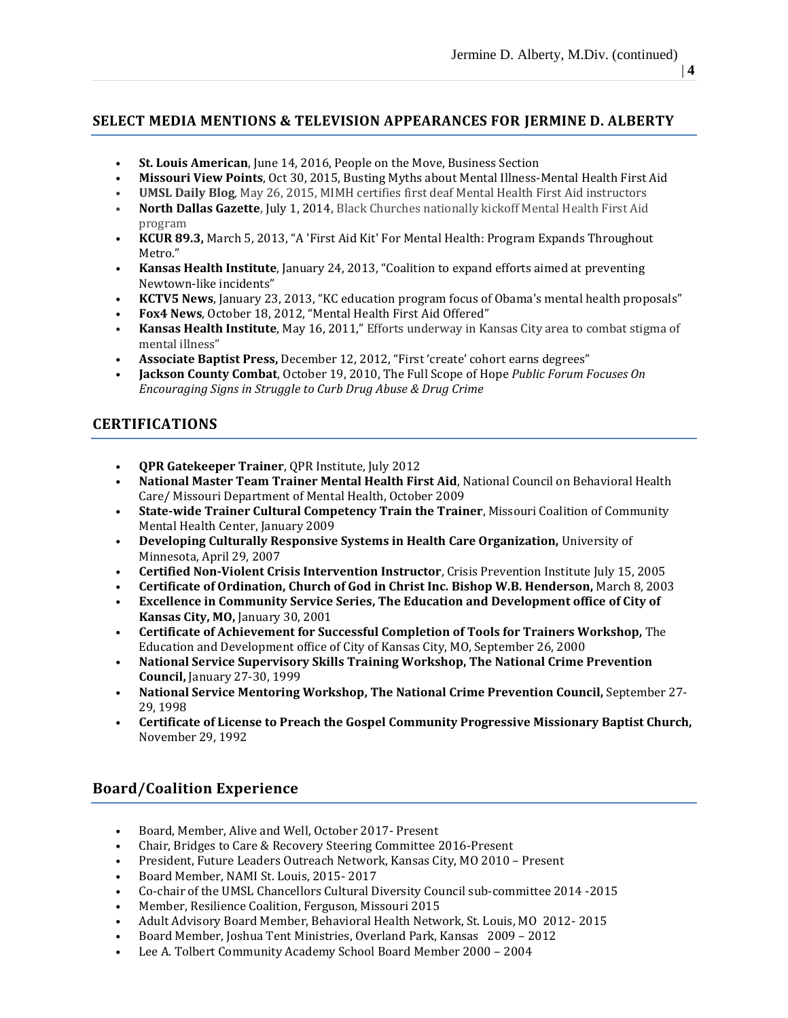## **SELECT MEDIA MENTIONS & TELEVISION APPEARANCES FOR JERMINE D. ALBERTY**

- **St. Louis American**, June 14, 2016, People on the Move, Business Section
- **Missouri View Points**, Oct 30, 2015, Busting Myths about Mental Illness-Mental Health First Aid
- **UMSL Daily Blog**, May 26, 2015, MIMH certifies first deaf Mental Health First Aid instructors
- **North Dallas Gazette,** July 1, 2014**,** Black Churches nationally kickoff Mental Health First Aid program
- **KCUR 89.3,** March 5, 2013, "A 'First Aid Kit' For Mental Health: Program Expands [Throughout](http://www.kcur.org/post/first-aid-kit-mental-health-program-expands-throughout-metro) [Metro](http://www.kcur.org/post/first-aid-kit-mental-health-program-expands-throughout-metro)."
- **Kansas Health Institute**, January 24, 2013, "Coalition to expand efforts aimed at preventing Newtown-like incidents"
- **KCTV5 News**, January 23, 2013, "KC education program focus of Obama's mental health proposals"
- **Fox4 News**, October 18, 2012, "Mental Health First Aid Offered"
- **Kansas Health Institute**, May 16, 2011," Efforts underway in Kansas City area to combat stigma of mental illness"
- **Associate Baptist Press,** December 12, 2012, "First 'create' cohort earns degrees"
- **Jackson County Combat**, October 19, 2010, The Full Scope of Hope *Public Forum Focuses On Encouraging Signs in Struggle to Curb Drug Abuse & Drug Crime*

## **CERTIFICATIONS**

- **QPR Gatekeeper Trainer**, QPR Institute, July 2012
- **National Master Team Trainer Mental Health First Aid**, National Council on Behavioral Health Care/ Missouri Department of Mental Health, October 2009
- **State-wide Trainer Cultural Competency Train the Trainer**, Missouri Coalition of Community Mental Health Center, January 2009
- **Developing Culturally Responsive Systems in Health Care Organization,** University of Minnesota, April 29, 2007
- **Certified Non-Violent Crisis Intervention Instructor**, Crisis Prevention Institute July 15, 2005
- **Certificate of Ordination, Church of God in Christ Inc. Bishop W.B. Henderson,** March 8, 2003
- **Excellence in Community Service Series, The Education and Development office of City of Kansas City, MO,** January 30, 2001
- **Certificate of Achievement for Successful Completion of Tools for Trainers Workshop,** The Education and Development office of City of Kansas City, MO, September 26, 2000
- **National Service Supervisory Skills Training Workshop, The National Crime Prevention Council,** January 27-30, 1999
- **National Service Mentoring Workshop, The National Crime Prevention Council,** September 27- 29, 1998
- **Certificate of License to Preach the Gospel Community Progressive Missionary Baptist Church,**  November 29, 1992

# **Board/Coalition Experience**

- Board, Member, Alive and Well, October 2017- Present
- Chair, Bridges to Care & Recovery Steering Committee 2016-Present
- President, Future Leaders Outreach Network, Kansas City, MO 2010 Present
- Board Member, NAMI St. Louis, 2015- 2017
- Co-chair of the UMSL Chancellors Cultural Diversity Council sub-committee 2014 -2015
- Member, Resilience Coalition, Ferguson, Missouri 2015
- Adult Advisory Board Member, Behavioral Health Network, St. Louis, MO 2012- 2015
- Board Member, Joshua Tent Ministries, Overland Park, Kansas 2009 2012
- Lee A. Tolbert Community Academy School Board Member 2000 2004